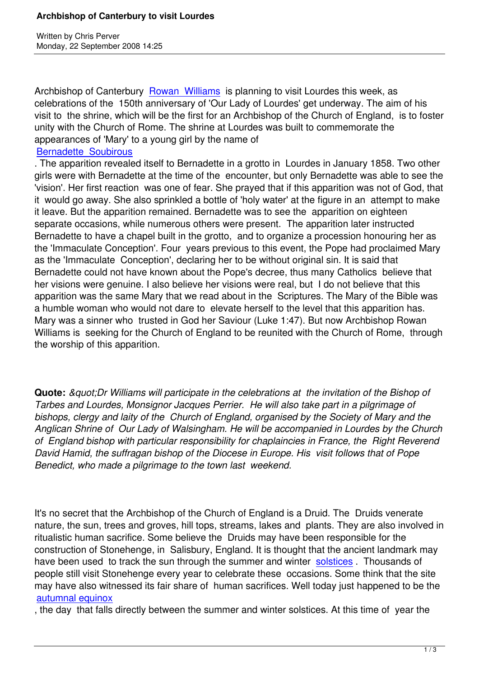Written by Christian by Christian by Christian by Christian by Christian by Christian by Chris Perus

Archbishop of Canterbury Rowan Williams is planning to visit Lourdes this week, as celebrations of the 150th anniversary of 'Our Lady of Lourdes' get underway. The aim of his visit to the shrine, which will be the first for an Archbishop of the Church of England, is to foster unity with the Church of R[ome. The shrine a](http://www.walesonline.co.uk/news/uk-news/2008/09/21/archbishop-to-visit-catholic-shrine-91466-21866706/)t Lourdes was built to commemorate the appearances of 'Mary' to a young girl by the name of

## Bernadette Soubirous

. The apparition revealed itself to Bernadette in a grotto in Lourdes in January 1858. Two other girls were with Bernadette at the time of the encounter, but only Bernadette was able to see the '[vision](http://www.marypages.com/bernadetteEng.htm)'[. Her first reactio](http://www.marypages.com/bernadetteEng.htm)n was one of fear. She prayed that if this apparition was not of God, that it would go away. She also sprinkled a bottle of 'holy water' at the figure in an attempt to make it leave. But the apparition remained. Bernadette was to see the apparition on eighteen separate occasions, while numerous others were present. The apparition later instructed Bernadette to have a chapel built in the grotto, and to organize a procession honouring her as the 'Immaculate Conception'. Four years previous to this event, the Pope had proclaimed Mary as the 'Immaculate Conception', declaring her to be without original sin. It is said that Bernadette could not have known about the Pope's decree, thus many Catholics believe that her visions were genuine. I also believe her visions were real, but I do not believe that this apparition was the same Mary that we read about in the Scriptures. The Mary of the Bible was a humble woman who would not dare to elevate herself to the level that this apparition has. Mary was a sinner who trusted in God her Saviour (Luke 1:47). But now Archbishop Rowan Williams is seeking for the Church of England to be reunited with the Church of Rome, through the worship of this apparition.

**Quote:** " Dr Williams will participate in the celebrations at the invitation of the Bishop of *Tarbes and Lourdes, Monsignor Jacques Perrier. He will also take part in a pilgrimage of bishops, clergy and laity of the Church of England, organised by the Society of Mary and the Anglican Shrine of Our Lady of Walsingham. He will be accompanied in Lourdes by the Church of England bishop with particular responsibility for chaplaincies in France, the Right Reverend David Hamid, the suffragan bishop of the Diocese in Europe. His visit follows that of Pope Benedict, who made a pilgrimage to the town last weekend.*

It's no secret that the Archbishop of the Church of England is a Druid. The Druids venerate nature, the sun, trees and groves, hill tops, streams, lakes and plants. They are also involved in ritualistic human sacrifice. Some believe the Druids may have been responsible for the construction of Stonehenge, in Salisbury, England. It is thought that the ancient landmark may have been used to track the sun through the summer and winter solstices. Thousands of people still visit Stonehenge every year to celebrate these occasions. Some think that the site may have also witnessed its fair share of human sacrifices. Well today just happened to be the autumnal equinox

, the day that falls directly between the summer and winter solstic[es. At this](http://news.bbc.co.uk/1/hi/england/wiltshire/7465235.stm) time of year the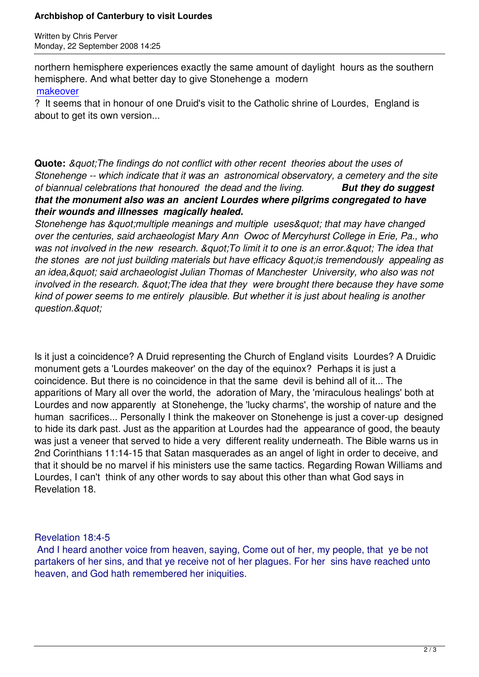Written by Christian by Christian by Christian by Christian by Christian by Christian by Christian by Christian

northern hemisphere experiences exactly the same amount of daylight hours as the southern hemisphere. And what better day to give Stonehenge a modern makeover

? It seems that in honour of one Druid's visit to the Catholic shrine of Lourdes, England is about to get its own version...

**Quote:** *" The findings do not conflict with other recent theories about the uses of Stonehenge -- which indicate that it was an astronomical observatory, a cemetery and the site of biannual celebrations that honoured the dead and the living. But they do suggest that the monument also was an ancient Lourdes where pilgrims congregated to have their wounds and illnesses magically healed.*

*Stonehenge has & quot: multiple meanings and multiple uses & quot: that may have changed over the centuries, said archaeologist Mary Ann Owoc of Mercyhurst College in Erie, Pa., who* was not involved in the new research. & quot; To limit it to one is an error. & quot; The idea that *the stones are not just building materials but have efficacy & quot: is tremendously appealing as an idea," said archaeologist Julian Thomas of Manchester University, who also was not involved in the research. & quot: The idea that they were brought there because they have some kind of power seems to me entirely plausible. But whether it is just about healing is another <u>guestion.&guot:</u>* 

Is it just a coincidence? A Druid representing the Church of England visits Lourdes? A Druidic monument gets a 'Lourdes makeover' on the day of the equinox? Perhaps it is just a coincidence. But there is no coincidence in that the same devil is behind all of it... The apparitions of Mary all over the world, the adoration of Mary, the 'miraculous healings' both at Lourdes and now apparently at Stonehenge, the 'lucky charms', the worship of nature and the human sacrifices... Personally I think the makeover on Stonehenge is just a cover-up designed to hide its dark past. Just as the apparition at Lourdes had the appearance of good, the beauty was just a veneer that served to hide a very different reality underneath. The Bible warns us in 2nd Corinthians 11:14-15 that Satan masquerades as an angel of light in order to deceive, and that it should be no marvel if his ministers use the same tactics. Regarding Rowan Williams and Lourdes, I can't think of any other words to say about this other than what God says in Revelation 18.

## Revelation 18:4-5

 And I heard another voice from heaven, saying, Come out of her, my people, that ye be not partakers of her sins, and that ye receive not of her plagues. For her sins have reached unto heaven, and God hath remembered her iniquities.